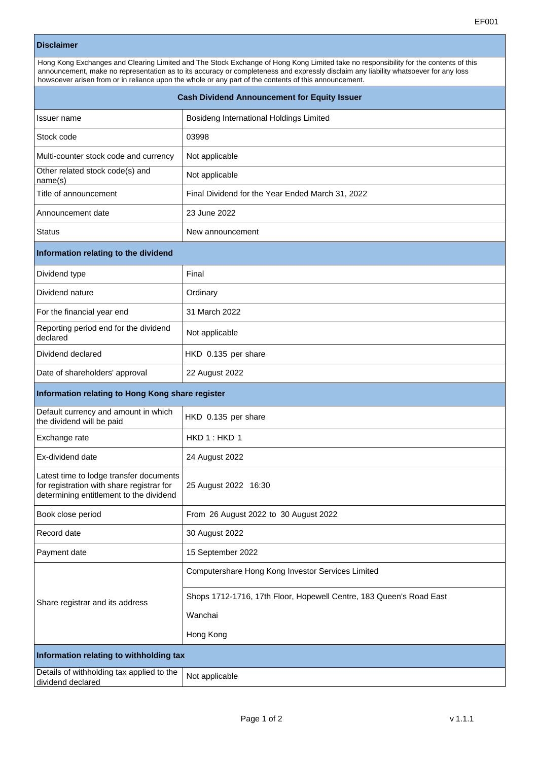## **Disclaimer**

| Hong Kong Exchanges and Clearing Limited and The Stock Exchange of Hong Kong Limited take no responsibility for the contents of this<br>announcement, make no representation as to its accuracy or completeness and expressly disclaim any liability whatsoever for any loss<br>howsoever arisen from or in reliance upon the whole or any part of the contents of this announcement. |                                         |  |
|---------------------------------------------------------------------------------------------------------------------------------------------------------------------------------------------------------------------------------------------------------------------------------------------------------------------------------------------------------------------------------------|-----------------------------------------|--|
| <b>Cash Dividend Announcement for Equity Issuer</b>                                                                                                                                                                                                                                                                                                                                   |                                         |  |
| Issuer name                                                                                                                                                                                                                                                                                                                                                                           | Bosideng International Holdings Limited |  |

| Stock code                                                                                                                      | 03998                                                               |  |
|---------------------------------------------------------------------------------------------------------------------------------|---------------------------------------------------------------------|--|
| Multi-counter stock code and currency                                                                                           | Not applicable                                                      |  |
| Other related stock code(s) and<br>name(s)                                                                                      | Not applicable                                                      |  |
| Title of announcement                                                                                                           | Final Dividend for the Year Ended March 31, 2022                    |  |
| Announcement date                                                                                                               | 23 June 2022                                                        |  |
| <b>Status</b>                                                                                                                   | New announcement                                                    |  |
| Information relating to the dividend                                                                                            |                                                                     |  |
| Dividend type                                                                                                                   | Final                                                               |  |
| Dividend nature                                                                                                                 | Ordinary                                                            |  |
| For the financial year end                                                                                                      | 31 March 2022                                                       |  |
| Reporting period end for the dividend<br>declared                                                                               | Not applicable                                                      |  |
| Dividend declared                                                                                                               | HKD 0.135 per share                                                 |  |
| Date of shareholders' approval                                                                                                  | 22 August 2022                                                      |  |
| Information relating to Hong Kong share register                                                                                |                                                                     |  |
| Default currency and amount in which<br>the dividend will be paid                                                               | HKD 0.135 per share                                                 |  |
| Exchange rate                                                                                                                   | HKD 1: HKD 1                                                        |  |
| Ex-dividend date                                                                                                                | 24 August 2022                                                      |  |
| Latest time to lodge transfer documents<br>for registration with share registrar for<br>determining entitlement to the dividend | 25 August 2022 16:30                                                |  |
| Book close period                                                                                                               | From 26 August 2022 to 30 August 2022                               |  |
| Record date                                                                                                                     | 30 August 2022                                                      |  |
| Payment date                                                                                                                    | 15 September 2022                                                   |  |
|                                                                                                                                 | Computershare Hong Kong Investor Services Limited                   |  |
| Share registrar and its address                                                                                                 | Shops 1712-1716, 17th Floor, Hopewell Centre, 183 Queen's Road East |  |
|                                                                                                                                 | Wanchai                                                             |  |
|                                                                                                                                 | Hong Kong                                                           |  |
| Information relating to withholding tax                                                                                         |                                                                     |  |
| Details of withholding tax applied to the<br>dividend declared                                                                  | Not applicable                                                      |  |